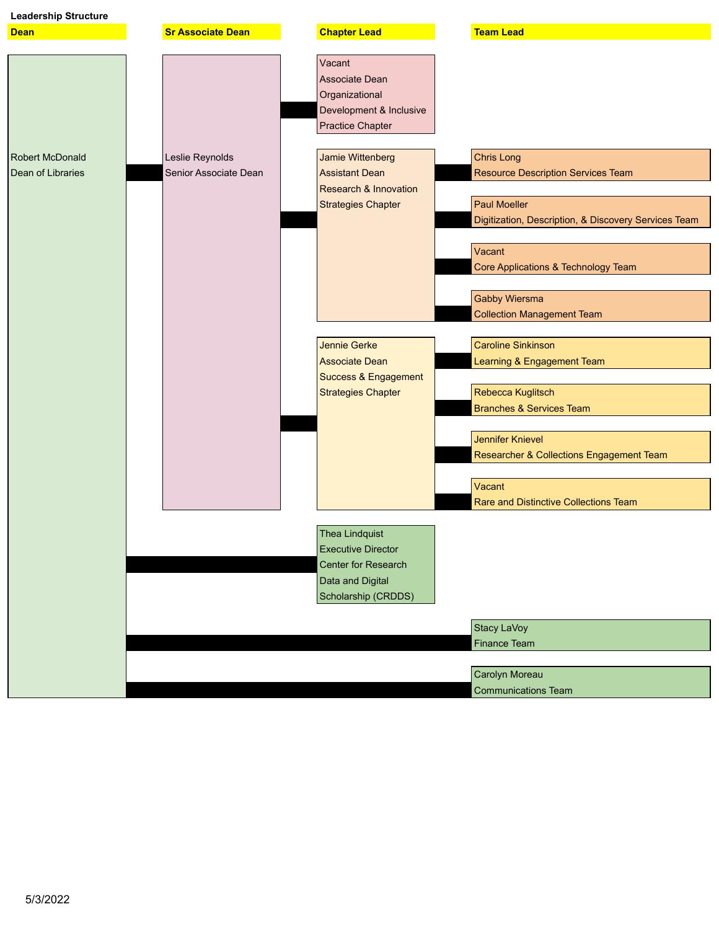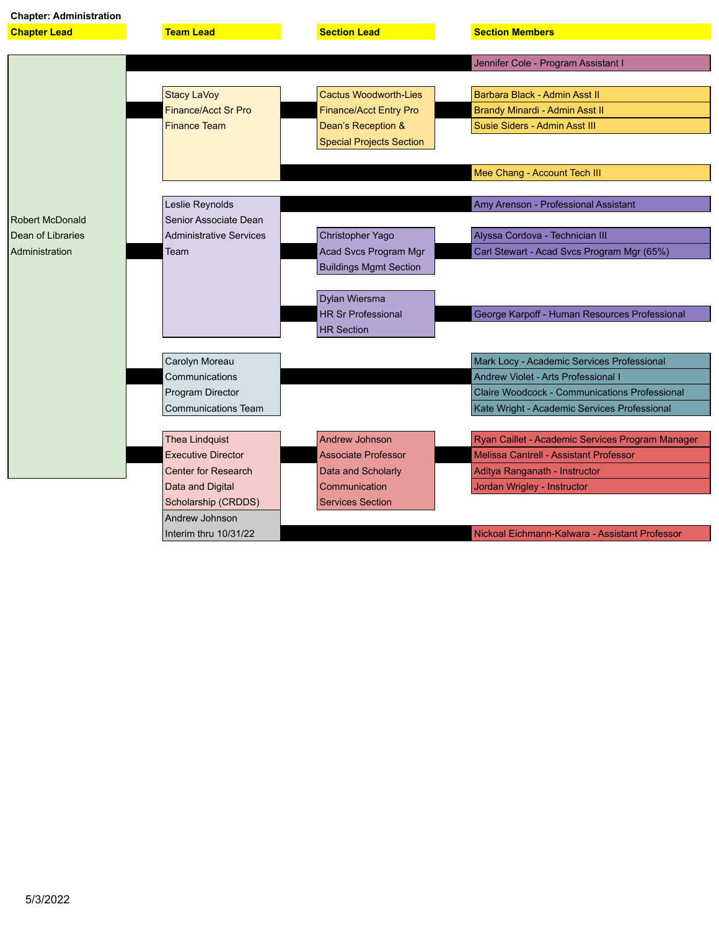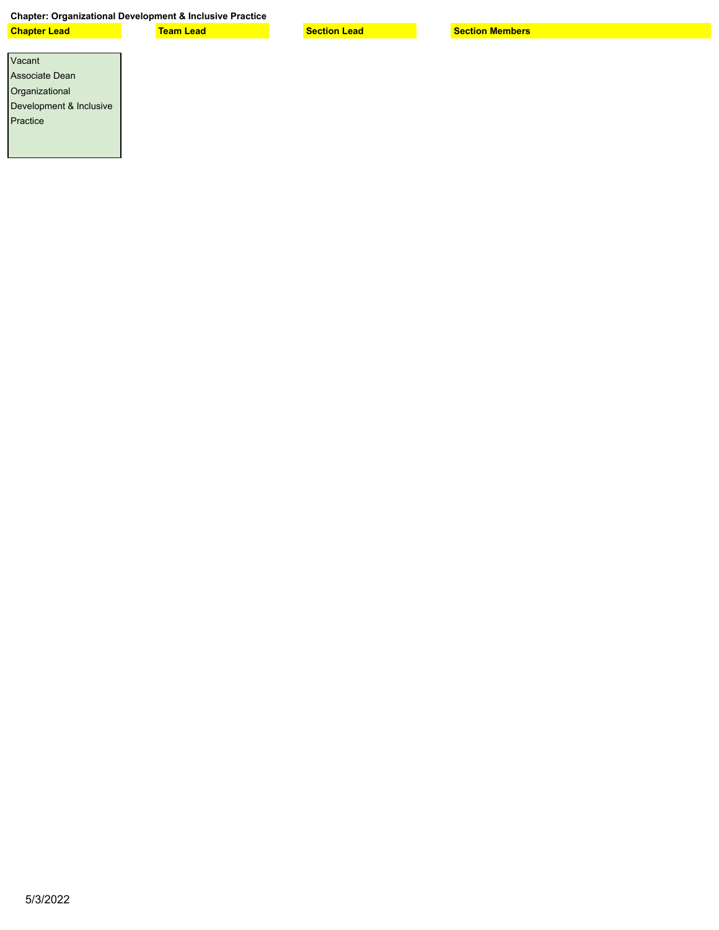## **Chapter: Organizational Development & Inclusive Practice**

**Chapter Lead Team Lead Section Lead Section Members**

| Vacant                  |
|-------------------------|
| Associate Dean          |
| Organizational          |
| Development & Inclusive |
| Practice                |
|                         |
|                         |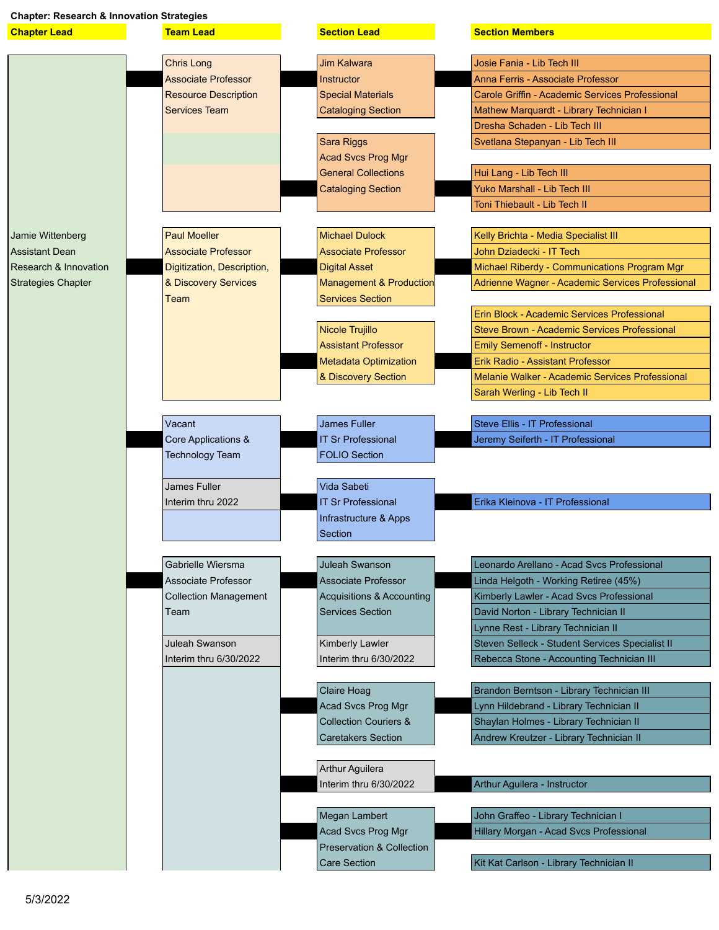| <b>Chapter: Research &amp; Innovation Strategies</b> |                                                    |                                                               |                                                                                                  |  |  |  |
|------------------------------------------------------|----------------------------------------------------|---------------------------------------------------------------|--------------------------------------------------------------------------------------------------|--|--|--|
| <b>Chapter Lead</b>                                  | <b>Team Lead</b>                                   | <b>Section Lead</b>                                           | <b>Section Members</b>                                                                           |  |  |  |
|                                                      |                                                    |                                                               |                                                                                                  |  |  |  |
|                                                      | <b>Chris Long</b>                                  | <b>Jim Kalwara</b>                                            | Josie Fania - Lib Tech III                                                                       |  |  |  |
|                                                      | <b>Associate Professor</b>                         | <b>Instructor</b>                                             | Anna Ferris - Associate Professor                                                                |  |  |  |
|                                                      | <b>Resource Description</b>                        | <b>Special Materials</b>                                      | Carole Griffin - Academic Services Professional                                                  |  |  |  |
|                                                      | <b>Services Team</b>                               | <b>Cataloging Section</b>                                     | Mathew Marquardt - Library Technician I                                                          |  |  |  |
|                                                      |                                                    |                                                               | Dresha Schaden - Lib Tech III                                                                    |  |  |  |
|                                                      |                                                    | Sara Riggs                                                    | Svetlana Stepanyan - Lib Tech III                                                                |  |  |  |
|                                                      |                                                    | <b>Acad Svcs Prog Mgr</b>                                     |                                                                                                  |  |  |  |
|                                                      |                                                    | <b>General Collections</b>                                    | Hui Lang - Lib Tech III                                                                          |  |  |  |
|                                                      |                                                    | <b>Cataloging Section</b>                                     | <b>Yuko Marshall - Lib Tech III</b>                                                              |  |  |  |
|                                                      |                                                    |                                                               | Toni Thiebault - Lib Tech II                                                                     |  |  |  |
|                                                      | <b>Paul Moeller</b>                                |                                                               |                                                                                                  |  |  |  |
| Jamie Wittenberg                                     |                                                    | <b>Michael Dulock</b>                                         | Kelly Brichta - Media Specialist III                                                             |  |  |  |
| Assistant Dean                                       | <b>Associate Professor</b>                         | <b>Associate Professor</b>                                    | John Dziadecki - IT Tech                                                                         |  |  |  |
| <b>Research &amp; Innovation</b>                     | Digitization, Description,<br>& Discovery Services | <b>Digital Asset</b>                                          | Michael Riberdy - Communications Program Mgr<br>Adrienne Wagner - Academic Services Professional |  |  |  |
| <b>Strategies Chapter</b>                            | Team                                               | <b>Management &amp; Production</b><br><b>Services Section</b> |                                                                                                  |  |  |  |
|                                                      |                                                    |                                                               | Erin Block - Academic Services Professional                                                      |  |  |  |
|                                                      |                                                    | Nicole Trujillo                                               | Steve Brown - Academic Services Professional                                                     |  |  |  |
|                                                      |                                                    | <b>Assistant Professor</b>                                    | <b>Emily Semenoff - Instructor</b>                                                               |  |  |  |
|                                                      |                                                    | <b>Metadata Optimization</b>                                  | <b>Erik Radio - Assistant Professor</b>                                                          |  |  |  |
|                                                      |                                                    | & Discovery Section                                           | Melanie Walker - Academic Services Professional                                                  |  |  |  |
|                                                      |                                                    |                                                               | Sarah Werling - Lib Tech II                                                                      |  |  |  |
|                                                      |                                                    |                                                               |                                                                                                  |  |  |  |
|                                                      | Vacant                                             | James Fuller                                                  | Steve Ellis - IT Professional                                                                    |  |  |  |
|                                                      | Core Applications &                                | <b>IT Sr Professional</b>                                     | Jeremy Seiferth - IT Professional                                                                |  |  |  |
|                                                      | <b>Technology Team</b>                             | <b>FOLIO Section</b>                                          |                                                                                                  |  |  |  |
|                                                      |                                                    |                                                               |                                                                                                  |  |  |  |
|                                                      | James Fuller                                       | Vida Sabeti                                                   |                                                                                                  |  |  |  |
|                                                      | Interim thru 2022                                  | <b>IT Sr Professional</b>                                     | Erika Kleinova - IT Professional                                                                 |  |  |  |
|                                                      |                                                    | Infrastructure & Apps                                         |                                                                                                  |  |  |  |
|                                                      |                                                    | Section                                                       |                                                                                                  |  |  |  |
|                                                      |                                                    |                                                               |                                                                                                  |  |  |  |
|                                                      | Gabrielle Wiersma                                  | Juleah Swanson                                                | Leonardo Arellano - Acad Svcs Professional                                                       |  |  |  |
|                                                      | <b>Associate Professor</b>                         | <b>Associate Professor</b>                                    | Linda Helgoth - Working Retiree (45%)                                                            |  |  |  |
|                                                      | <b>Collection Management</b>                       | Acquisitions & Accounting                                     | Kimberly Lawler - Acad Svcs Professional                                                         |  |  |  |
|                                                      | Team                                               | <b>Services Section</b>                                       | David Norton - Library Technician II                                                             |  |  |  |
|                                                      |                                                    |                                                               | Lynne Rest - Library Technician II                                                               |  |  |  |
|                                                      | Juleah Swanson                                     | Kimberly Lawler                                               | Steven Selleck - Student Services Specialist II                                                  |  |  |  |
|                                                      | Interim thru 6/30/2022                             | Interim thru 6/30/2022                                        | Rebecca Stone - Accounting Technician III                                                        |  |  |  |
|                                                      |                                                    |                                                               |                                                                                                  |  |  |  |
|                                                      |                                                    | Claire Hoag                                                   | Brandon Berntson - Library Technician III                                                        |  |  |  |
|                                                      |                                                    | Acad Svcs Prog Mgr<br><b>Collection Couriers &amp;</b>        | Lynn Hildebrand - Library Technician II                                                          |  |  |  |
|                                                      |                                                    |                                                               | Shaylan Holmes - Library Technician II                                                           |  |  |  |
|                                                      |                                                    | <b>Caretakers Section</b>                                     | Andrew Kreutzer - Library Technician II                                                          |  |  |  |
|                                                      |                                                    | Arthur Aguilera                                               |                                                                                                  |  |  |  |
|                                                      |                                                    | Interim thru 6/30/2022                                        | Arthur Aguilera - Instructor                                                                     |  |  |  |
|                                                      |                                                    |                                                               |                                                                                                  |  |  |  |
|                                                      |                                                    | Megan Lambert                                                 | John Graffeo - Library Technician I                                                              |  |  |  |
|                                                      |                                                    | Acad Svcs Prog Mgr                                            | Hillary Morgan - Acad Svcs Professional                                                          |  |  |  |
|                                                      |                                                    | <b>Preservation &amp; Collection</b>                          |                                                                                                  |  |  |  |
|                                                      |                                                    | Care Section                                                  | Kit Kat Carlson - Library Technician II                                                          |  |  |  |
|                                                      |                                                    |                                                               |                                                                                                  |  |  |  |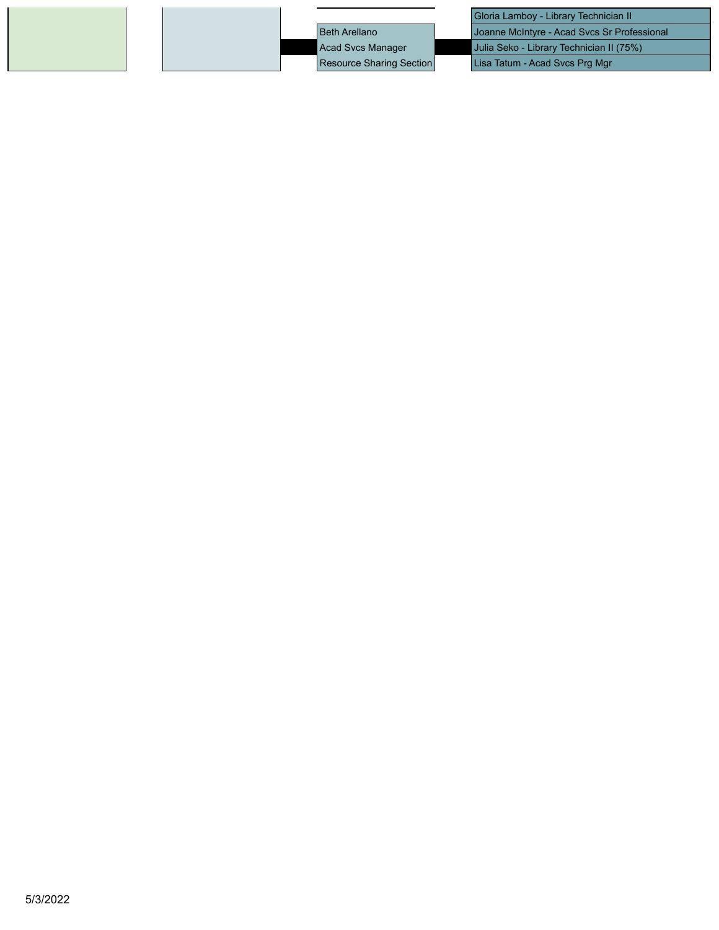Gloria Lamboy - Library Technician II Beth Arellano Joanne McIntyre - Acad Svcs Sr Professional Acad Svcs Manager Julia Seko - Library Technician II (75%) Resource Sharing Section | Lisa Tatum - Acad Svcs Prg Mgr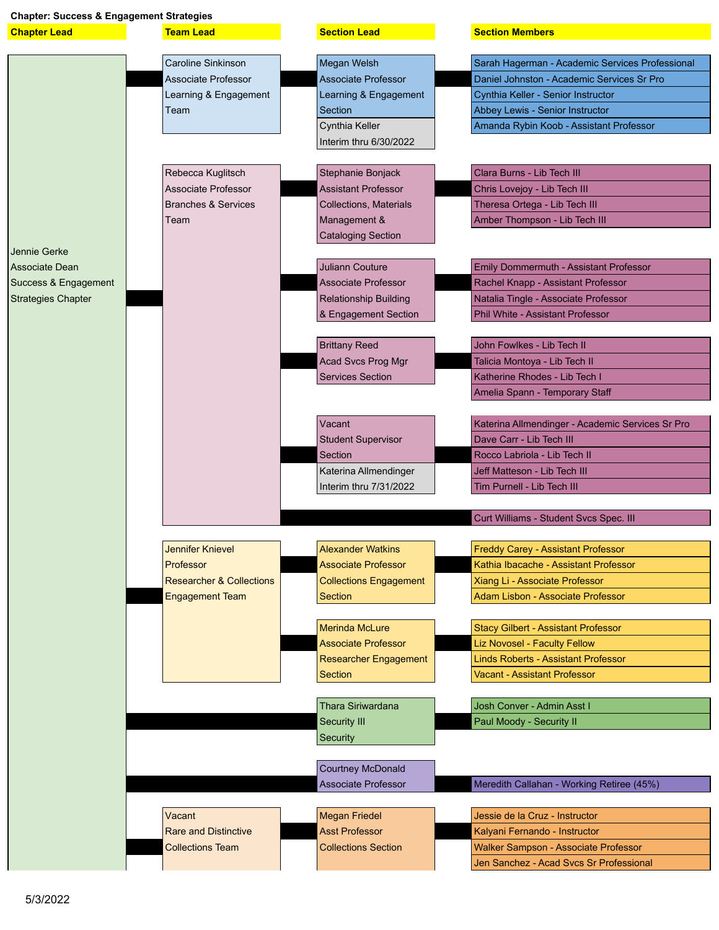